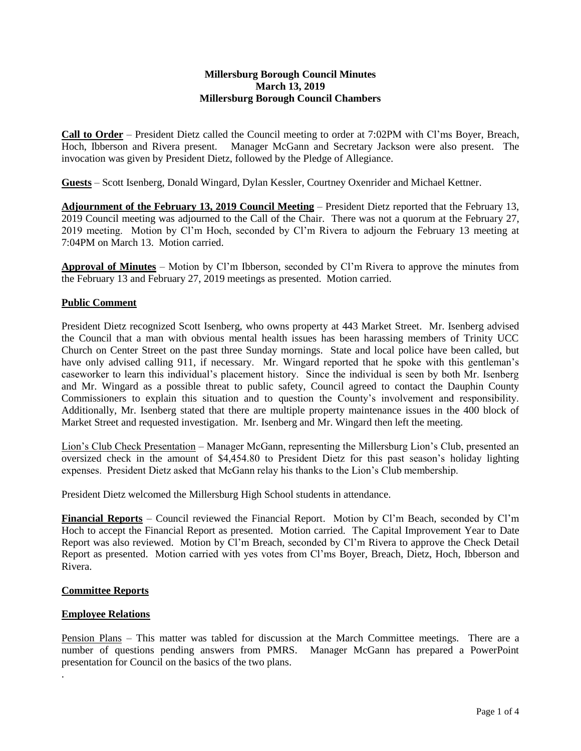### **Millersburg Borough Council Minutes March 13, 2019 Millersburg Borough Council Chambers**

**Call to Order** – President Dietz called the Council meeting to order at 7:02PM with Cl'ms Boyer, Breach, Hoch, Ibberson and Rivera present. Manager McGann and Secretary Jackson were also present. The invocation was given by President Dietz, followed by the Pledge of Allegiance.

**Guests** – Scott Isenberg, Donald Wingard, Dylan Kessler, Courtney Oxenrider and Michael Kettner.

**Adjournment of the February 13, 2019 Council Meeting** – President Dietz reported that the February 13, 2019 Council meeting was adjourned to the Call of the Chair. There was not a quorum at the February 27, 2019 meeting. Motion by Cl'm Hoch, seconded by Cl'm Rivera to adjourn the February 13 meeting at 7:04PM on March 13. Motion carried.

**Approval of Minutes** – Motion by Cl'm Ibberson, seconded by Cl'm Rivera to approve the minutes from the February 13 and February 27, 2019 meetings as presented. Motion carried.

# **Public Comment**

President Dietz recognized Scott Isenberg, who owns property at 443 Market Street. Mr. Isenberg advised the Council that a man with obvious mental health issues has been harassing members of Trinity UCC Church on Center Street on the past three Sunday mornings. State and local police have been called, but have only advised calling 911, if necessary. Mr. Wingard reported that he spoke with this gentleman's caseworker to learn this individual's placement history. Since the individual is seen by both Mr. Isenberg and Mr. Wingard as a possible threat to public safety, Council agreed to contact the Dauphin County Commissioners to explain this situation and to question the County's involvement and responsibility. Additionally, Mr. Isenberg stated that there are multiple property maintenance issues in the 400 block of Market Street and requested investigation. Mr. Isenberg and Mr. Wingard then left the meeting.

Lion's Club Check Presentation – Manager McGann, representing the Millersburg Lion's Club, presented an oversized check in the amount of \$4,454.80 to President Dietz for this past season's holiday lighting expenses. President Dietz asked that McGann relay his thanks to the Lion's Club membership.

President Dietz welcomed the Millersburg High School students in attendance.

**Financial Reports** – Council reviewed the Financial Report. Motion by Cl'm Beach, seconded by Cl'm Hoch to accept the Financial Report as presented. Motion carried. The Capital Improvement Year to Date Report was also reviewed. Motion by Cl'm Breach, seconded by Cl'm Rivera to approve the Check Detail Report as presented. Motion carried with yes votes from Cl'ms Boyer, Breach, Dietz, Hoch, Ibberson and Rivera.

#### **Committee Reports**

#### **Employee Relations**

.

Pension Plans – This matter was tabled for discussion at the March Committee meetings. There are a number of questions pending answers from PMRS. Manager McGann has prepared a PowerPoint presentation for Council on the basics of the two plans.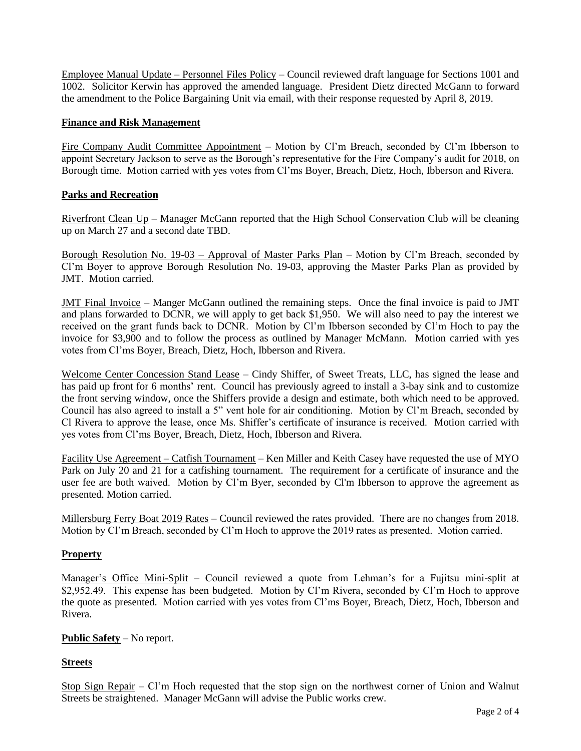Employee Manual Update – Personnel Files Policy – Council reviewed draft language for Sections 1001 and 1002. Solicitor Kerwin has approved the amended language. President Dietz directed McGann to forward the amendment to the Police Bargaining Unit via email, with their response requested by April 8, 2019.

### **Finance and Risk Management**

Fire Company Audit Committee Appointment – Motion by Cl'm Breach, seconded by Cl'm Ibberson to appoint Secretary Jackson to serve as the Borough's representative for the Fire Company's audit for 2018, on Borough time. Motion carried with yes votes from Cl'ms Boyer, Breach, Dietz, Hoch, Ibberson and Rivera.

### **Parks and Recreation**

Riverfront Clean Up – Manager McGann reported that the High School Conservation Club will be cleaning up on March 27 and a second date TBD.

Borough Resolution No. 19-03 – Approval of Master Parks Plan – Motion by Cl'm Breach, seconded by Cl'm Boyer to approve Borough Resolution No. 19-03, approving the Master Parks Plan as provided by JMT. Motion carried.

JMT Final Invoice – Manger McGann outlined the remaining steps. Once the final invoice is paid to JMT and plans forwarded to DCNR, we will apply to get back \$1,950. We will also need to pay the interest we received on the grant funds back to DCNR. Motion by Cl'm Ibberson seconded by Cl'm Hoch to pay the invoice for \$3,900 and to follow the process as outlined by Manager McMann. Motion carried with yes votes from Cl'ms Boyer, Breach, Dietz, Hoch, Ibberson and Rivera.

Welcome Center Concession Stand Lease – Cindy Shiffer, of Sweet Treats, LLC, has signed the lease and has paid up front for 6 months' rent. Council has previously agreed to install a 3-bay sink and to customize the front serving window, once the Shiffers provide a design and estimate, both which need to be approved. Council has also agreed to install a 5" vent hole for air conditioning. Motion by Cl'm Breach, seconded by Cl Rivera to approve the lease, once Ms. Shiffer's certificate of insurance is received. Motion carried with yes votes from Cl'ms Boyer, Breach, Dietz, Hoch, Ibberson and Rivera.

Facility Use Agreement – Catfish Tournament – Ken Miller and Keith Casey have requested the use of MYO Park on July 20 and 21 for a catfishing tournament. The requirement for a certificate of insurance and the user fee are both waived. Motion by Cl'm Byer, seconded by Cl'm Ibberson to approve the agreement as presented. Motion carried.

Millersburg Ferry Boat 2019 Rates – Council reviewed the rates provided. There are no changes from 2018. Motion by Cl'm Breach, seconded by Cl'm Hoch to approve the 2019 rates as presented. Motion carried.

# **Property**

Manager's Office Mini-Split – Council reviewed a quote from Lehman's for a Fujitsu mini-split at \$2,952.49. This expense has been budgeted. Motion by Cl'm Rivera, seconded by Cl'm Hoch to approve the quote as presented. Motion carried with yes votes from Cl'ms Boyer, Breach, Dietz, Hoch, Ibberson and Rivera.

# **Public Safety** – No report.

# **Streets**

Stop Sign Repair – Cl'm Hoch requested that the stop sign on the northwest corner of Union and Walnut Streets be straightened. Manager McGann will advise the Public works crew.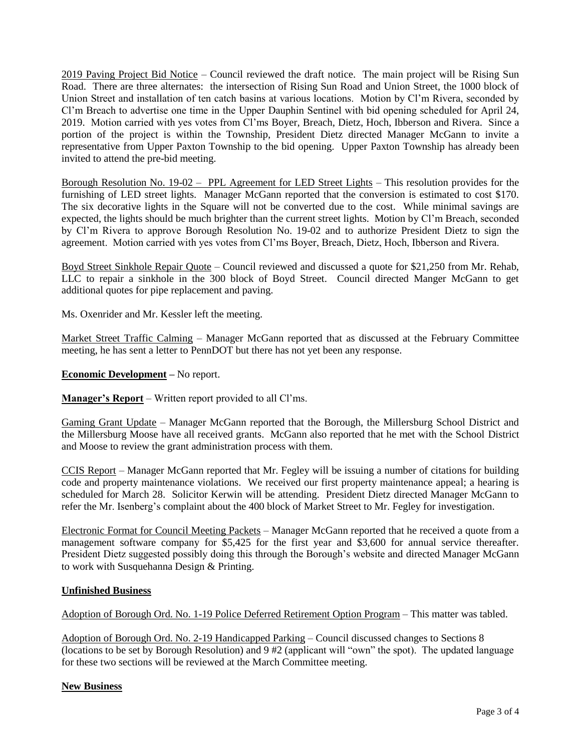2019 Paving Project Bid Notice – Council reviewed the draft notice. The main project will be Rising Sun Road. There are three alternates: the intersection of Rising Sun Road and Union Street, the 1000 block of Union Street and installation of ten catch basins at various locations. Motion by Cl'm Rivera, seconded by Cl'm Breach to advertise one time in the Upper Dauphin Sentinel with bid opening scheduled for April 24, 2019. Motion carried with yes votes from Cl'ms Boyer, Breach, Dietz, Hoch, Ibberson and Rivera. Since a portion of the project is within the Township, President Dietz directed Manager McGann to invite a representative from Upper Paxton Township to the bid opening. Upper Paxton Township has already been invited to attend the pre-bid meeting.

Borough Resolution No. 19-02 – PPL Agreement for LED Street Lights – This resolution provides for the furnishing of LED street lights. Manager McGann reported that the conversion is estimated to cost \$170. The six decorative lights in the Square will not be converted due to the cost. While minimal savings are expected, the lights should be much brighter than the current street lights. Motion by Cl'm Breach, seconded by Cl'm Rivera to approve Borough Resolution No. 19-02 and to authorize President Dietz to sign the agreement. Motion carried with yes votes from Cl'ms Boyer, Breach, Dietz, Hoch, Ibberson and Rivera.

Boyd Street Sinkhole Repair Quote – Council reviewed and discussed a quote for \$21,250 from Mr. Rehab, LLC to repair a sinkhole in the 300 block of Boyd Street. Council directed Manger McGann to get additional quotes for pipe replacement and paving.

Ms. Oxenrider and Mr. Kessler left the meeting.

Market Street Traffic Calming - Manager McGann reported that as discussed at the February Committee meeting, he has sent a letter to PennDOT but there has not yet been any response.

**Economic Development –** No report.

**Manager's Report** – Written report provided to all Cl'ms.

Gaming Grant Update – Manager McGann reported that the Borough, the Millersburg School District and the Millersburg Moose have all received grants. McGann also reported that he met with the School District and Moose to review the grant administration process with them.

CCIS Report – Manager McGann reported that Mr. Fegley will be issuing a number of citations for building code and property maintenance violations. We received our first property maintenance appeal; a hearing is scheduled for March 28. Solicitor Kerwin will be attending. President Dietz directed Manager McGann to refer the Mr. Isenberg's complaint about the 400 block of Market Street to Mr. Fegley for investigation.

Electronic Format for Council Meeting Packets – Manager McGann reported that he received a quote from a management software company for \$5,425 for the first year and \$3,600 for annual service thereafter. President Dietz suggested possibly doing this through the Borough's website and directed Manager McGann to work with Susquehanna Design & Printing.

# **Unfinished Business**

Adoption of Borough Ord. No. 1-19 Police Deferred Retirement Option Program – This matter was tabled.

Adoption of Borough Ord. No. 2-19 Handicapped Parking – Council discussed changes to Sections 8 (locations to be set by Borough Resolution) and 9 #2 (applicant will "own" the spot). The updated language for these two sections will be reviewed at the March Committee meeting.

#### **New Business**